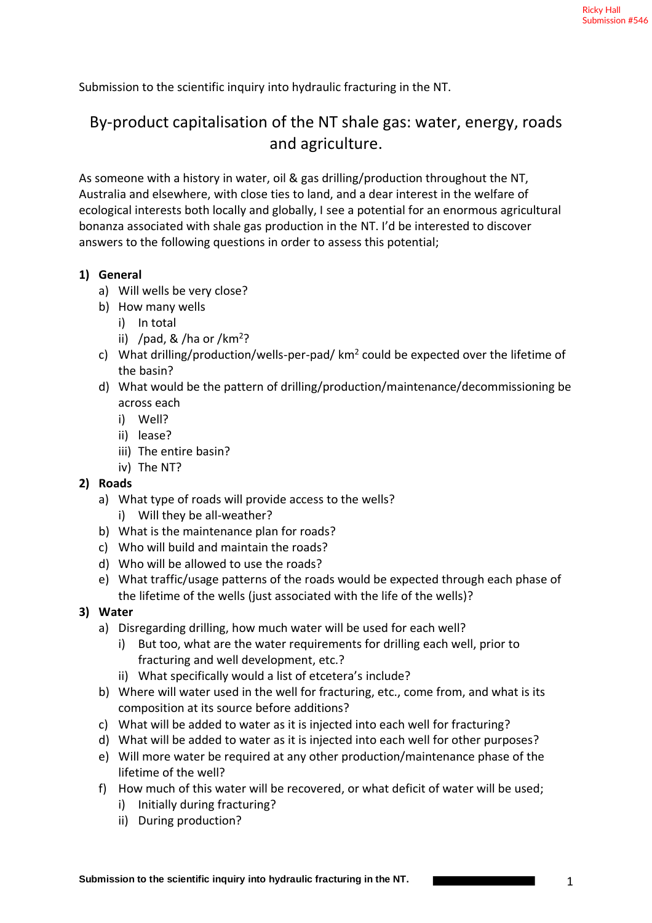Submission to the scientific inquiry into hydraulic fracturing in the NT.

# By-product capitalisation of the NT shale gas: water, energy, roads and agriculture.

As someone with a history in water, oil & gas drilling/production throughout the NT, Australia and elsewhere, with close ties to land, and a dear interest in the welfare of ecological interests both locally and globally, I see a potential for an enormous agricultural bonanza associated with shale gas production in the NT. I'd be interested to discover answers to the following questions in order to assess this potential;

#### **1) General**

- a) Will wells be very close?
- b) How many wells
	- i) In total
	- ii) /pad, & /ha or /km<sup>2</sup>?
- c) What drilling/production/wells-per-pad/ km<sup>2</sup> could be expected over the lifetime of the basin?
- d) What would be the pattern of drilling/production/maintenance/decommissioning be across each
	- i) Well?
	- ii) lease?
	- iii) The entire basin?
	- iv) The NT?

## **2) Roads**

- a) What type of roads will provide access to the wells?
	- i) Will they be all-weather?
- b) What is the maintenance plan for roads?
- c) Who will build and maintain the roads?
- d) Who will be allowed to use the roads?
- e) What traffic/usage patterns of the roads would be expected through each phase of the lifetime of the wells (just associated with the life of the wells)?

## **3) Water**

- a) Disregarding drilling, how much water will be used for each well?
	- i) But too, what are the water requirements for drilling each well, prior to fracturing and well development, etc.?
	- ii) What specifically would a list of etcetera's include?
- b) Where will water used in the well for fracturing, etc., come from, and what is its composition at its source before additions?
- c) What will be added to water as it is injected into each well for fracturing?
- d) What will be added to water as it is injected into each well for other purposes?
- e) Will more water be required at any other production/maintenance phase of the lifetime of the well?
- f) How much of this water will be recovered, or what deficit of water will be used;
	- i) Initially during fracturing?
	- ii) During production?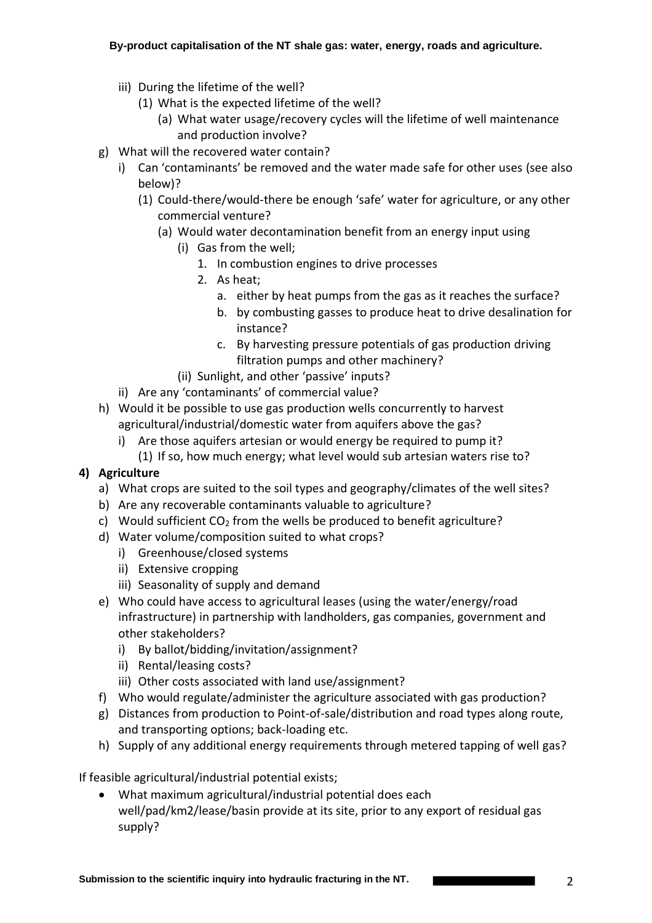- iii) During the lifetime of the well?
	- (1) What is the expected lifetime of the well?
		- (a) What water usage/recovery cycles will the lifetime of well maintenance and production involve?
- g) What will the recovered water contain?
	- i) Can 'contaminants' be removed and the water made safe for other uses (see also below)?
		- (1) Could-there/would-there be enough 'safe' water for agriculture, or any other commercial venture?
			- (a) Would water decontamination benefit from an energy input using
				- (i) Gas from the well;
					- 1. In combustion engines to drive processes
					- 2. As heat;
						- a. either by heat pumps from the gas as it reaches the surface?
						- b. by combusting gasses to produce heat to drive desalination for instance?
						- c. By harvesting pressure potentials of gas production driving filtration pumps and other machinery?
				- (ii) Sunlight, and other 'passive' inputs?
	- ii) Are any 'contaminants' of commercial value?
- h) Would it be possible to use gas production wells concurrently to harvest agricultural/industrial/domestic water from aquifers above the gas?
	- i) Are those aquifers artesian or would energy be required to pump it?
	- (1) If so, how much energy; what level would sub artesian waters rise to?

## **4) Agriculture**

- a) What crops are suited to the soil types and geography/climates of the well sites?
- b) Are any recoverable contaminants valuable to agriculture?
- c) Would sufficient  $CO<sub>2</sub>$  from the wells be produced to benefit agriculture?
- d) Water volume/composition suited to what crops?
	- i) Greenhouse/closed systems
	- ii) Extensive cropping
	- iii) Seasonality of supply and demand
- e) Who could have access to agricultural leases (using the water/energy/road infrastructure) in partnership with landholders, gas companies, government and other stakeholders?
	- i) By ballot/bidding/invitation/assignment?
	- ii) Rental/leasing costs?
	- iii) Other costs associated with land use/assignment?
- f) Who would regulate/administer the agriculture associated with gas production?
- g) Distances from production to Point-of-sale/distribution and road types along route, and transporting options; back-loading etc.
- h) Supply of any additional energy requirements through metered tapping of well gas?

If feasible agricultural/industrial potential exists;

• What maximum agricultural/industrial potential does each well/pad/km2/lease/basin provide at its site, prior to any export of residual gas supply?